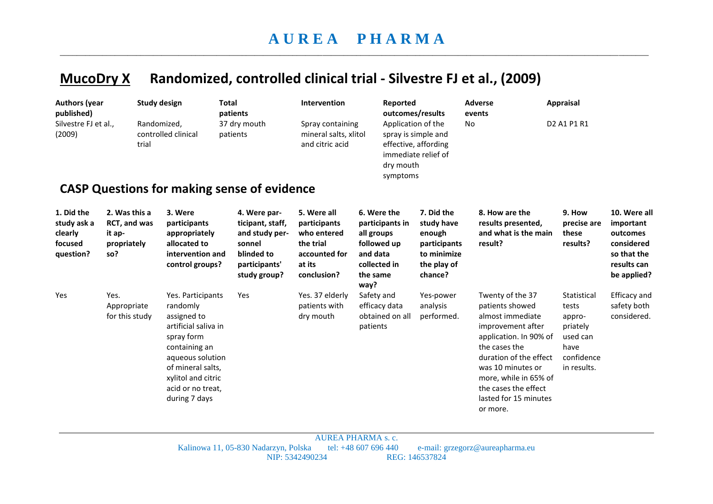## **MucoDry X Randomized, controlled clinical trial - Silvestre FJ et al., (2009)**

| <b>Authors (year</b><br>published)<br>Silvestre FJ et al.,<br>(2009) |                                                                      | <b>Study design</b><br>Randomized,<br>controlled clinical<br>trial                                                                                                                                       | <b>Total</b><br>patients<br>37 dry mouth<br>patients<br><b>CASP Questions for making sense of evidence</b>  | Intervention<br>Spray containing<br>mineral salts, xlitol<br>and citric acid                      | Reported<br>dry mouth<br>symptoms                                                                           | outcomes/results<br>Application of the<br>spray is simple and<br>effective, affording<br>immediate relief of | <b>Adverse</b><br>events<br>No                                                                                                                                                                                                                               | <b>Appraisal</b><br>D <sub>2</sub> A <sub>1</sub> P <sub>1</sub> R <sub>1</sub>             |                                                                                                  |
|----------------------------------------------------------------------|----------------------------------------------------------------------|----------------------------------------------------------------------------------------------------------------------------------------------------------------------------------------------------------|-------------------------------------------------------------------------------------------------------------|---------------------------------------------------------------------------------------------------|-------------------------------------------------------------------------------------------------------------|--------------------------------------------------------------------------------------------------------------|--------------------------------------------------------------------------------------------------------------------------------------------------------------------------------------------------------------------------------------------------------------|---------------------------------------------------------------------------------------------|--------------------------------------------------------------------------------------------------|
| 1. Did the<br>study ask a<br>clearly<br>focused<br>question?         | 2. Was this a<br><b>RCT, and was</b><br>it ap-<br>propriately<br>so? | 3. Were<br>participants<br>appropriately<br>allocated to<br>intervention and<br>control groups?                                                                                                          | 4. Were par-<br>ticipant, staff,<br>and study per-<br>sonnel<br>blinded to<br>participants'<br>study group? | 5. Were all<br>participants<br>who entered<br>the trial<br>accounted for<br>at its<br>conclusion? | 6. Were the<br>participants in<br>all groups<br>followed up<br>and data<br>collected in<br>the same<br>way? | 7. Did the<br>study have<br>enough<br>participants<br>to minimize<br>the play of<br>chance?                  | 8. How are the<br>results presented,<br>and what is the main<br>result?                                                                                                                                                                                      | 9. How<br>precise are<br>these<br>results?                                                  | 10. Were all<br>important<br>outcomes<br>considered<br>so that the<br>results can<br>be applied? |
| Yes                                                                  | Yes.<br>Appropriate<br>for this study                                | Yes. Participants<br>randomly<br>assigned to<br>artificial saliva in<br>spray form<br>containing an<br>aqueous solution<br>of mineral salts,<br>xylitol and citric<br>acid or no treat,<br>during 7 days | Yes                                                                                                         | Yes. 37 elderly<br>patients with<br>dry mouth                                                     | Safety and<br>efficacy data<br>obtained on all<br>patients                                                  | Yes-power<br>analysis<br>performed.                                                                          | Twenty of the 37<br>patients showed<br>almost immediate<br>improvement after<br>application. In 90% of<br>the cases the<br>duration of the effect<br>was 10 minutes or<br>more, while in 65% of<br>the cases the effect<br>lasted for 15 minutes<br>or more. | Statistical<br>tests<br>appro-<br>priately<br>used can<br>have<br>confidence<br>in results. | Efficacy and<br>safety both<br>considered.                                                       |